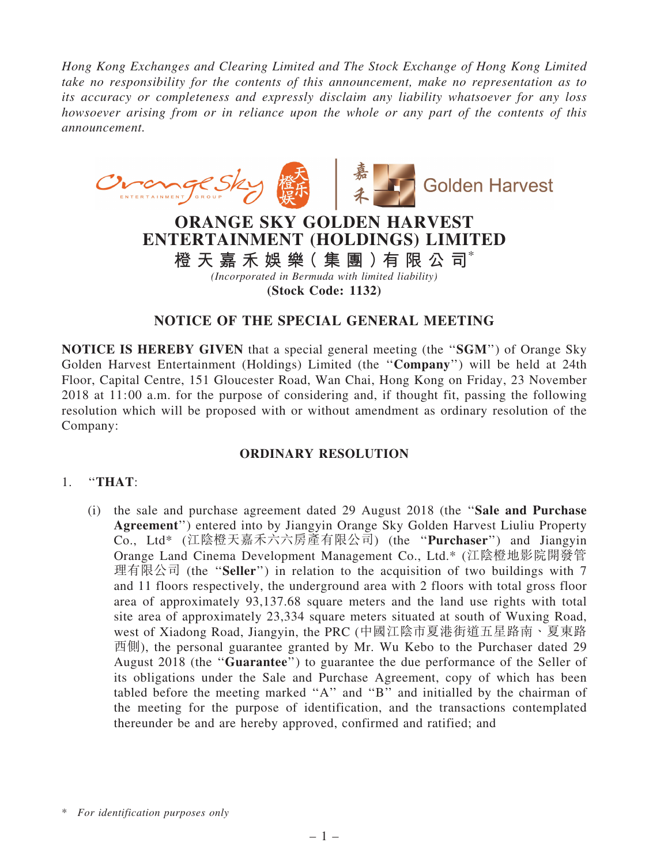*Hong Kong Exchanges and Clearing Limited and The Stock Exchange of Hong Kong Limited take no responsibility for the contents of this announcement, make no representation as to its accuracy or completeness and expressly disclaim any liability whatsoever for any loss howsoever arising from or in reliance upon the whole or any part of the contents of this announcement.*



## NOTICE OF THE SPECIAL GENERAL MEETING

NOTICE IS HEREBY GIVEN that a special general meeting (the ''SGM'') of Orange Sky Golden Harvest Entertainment (Holdings) Limited (the ''Company'') will be held at 24th Floor, Capital Centre, 151 Gloucester Road, Wan Chai, Hong Kong on Friday, 23 November 2018 at 11:00 a.m. for the purpose of considering and, if thought fit, passing the following resolution which will be proposed with or without amendment as ordinary resolution of the Company:

## ORDINARY RESOLUTION

## 1. ''THAT:

(i) the sale and purchase agreement dated 29 August 2018 (the ''Sale and Purchase Agreement'') entered into by Jiangyin Orange Sky Golden Harvest Liuliu Property Co., Ltd\* (江陰橙天嘉禾六六房產有限公司) (the ''Purchaser'') and Jiangyin Orange Land Cinema Development Management Co., Ltd.\* (江陰橙地影院開發管 理有限公司 (the "Seller") in relation to the acquisition of two buildings with 7 and 11 floors respectively, the underground area with 2 floors with total gross floor area of approximately 93,137.68 square meters and the land use rights with total site area of approximately 23,334 square meters situated at south of Wuxing Road, west of Xiadong Road, Jiangyin, the PRC (中國江陰市夏港街道五星路南、夏東路 西側), the personal guarantee granted by Mr. Wu Kebo to the Purchaser dated 29 August 2018 (the ''Guarantee'') to guarantee the due performance of the Seller of its obligations under the Sale and Purchase Agreement, copy of which has been tabled before the meeting marked ''A'' and ''B'' and initialled by the chairman of the meeting for the purpose of identification, and the transactions contemplated thereunder be and are hereby approved, confirmed and ratified; and

<sup>\*</sup> *For identification purposes only*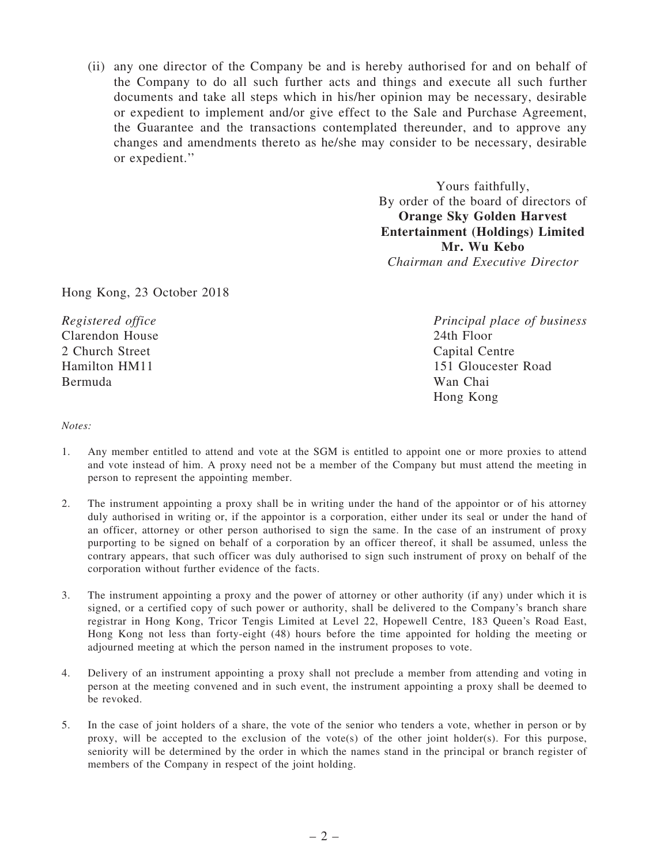(ii) any one director of the Company be and is hereby authorised for and on behalf of the Company to do all such further acts and things and execute all such further documents and take all steps which in his/her opinion may be necessary, desirable or expedient to implement and/or give effect to the Sale and Purchase Agreement, the Guarantee and the transactions contemplated thereunder, and to approve any changes and amendments thereto as he/she may consider to be necessary, desirable or expedient.''

> Yours faithfully, By order of the board of directors of Orange Sky Golden Harvest Entertainment (Holdings) Limited Mr. Wu Kebo *Chairman and Executive Director*

Hong Kong, 23 October 2018

*Registered office* Clarendon House 2 Church Street Hamilton HM11 Bermuda

*Principal place of business* 24th Floor Capital Centre 151 Gloucester Road Wan Chai Hong Kong

*Notes:*

- 1. Any member entitled to attend and vote at the SGM is entitled to appoint one or more proxies to attend and vote instead of him. A proxy need not be a member of the Company but must attend the meeting in person to represent the appointing member.
- 2. The instrument appointing a proxy shall be in writing under the hand of the appointor or of his attorney duly authorised in writing or, if the appointor is a corporation, either under its seal or under the hand of an officer, attorney or other person authorised to sign the same. In the case of an instrument of proxy purporting to be signed on behalf of a corporation by an officer thereof, it shall be assumed, unless the contrary appears, that such officer was duly authorised to sign such instrument of proxy on behalf of the corporation without further evidence of the facts.
- 3. The instrument appointing a proxy and the power of attorney or other authority (if any) under which it is signed, or a certified copy of such power or authority, shall be delivered to the Company's branch share registrar in Hong Kong, Tricor Tengis Limited at Level 22, Hopewell Centre, 183 Queen's Road East, Hong Kong not less than forty-eight (48) hours before the time appointed for holding the meeting or adjourned meeting at which the person named in the instrument proposes to vote.
- 4. Delivery of an instrument appointing a proxy shall not preclude a member from attending and voting in person at the meeting convened and in such event, the instrument appointing a proxy shall be deemed to be revoked.
- 5. In the case of joint holders of a share, the vote of the senior who tenders a vote, whether in person or by proxy, will be accepted to the exclusion of the vote(s) of the other joint holder(s). For this purpose, seniority will be determined by the order in which the names stand in the principal or branch register of members of the Company in respect of the joint holding.